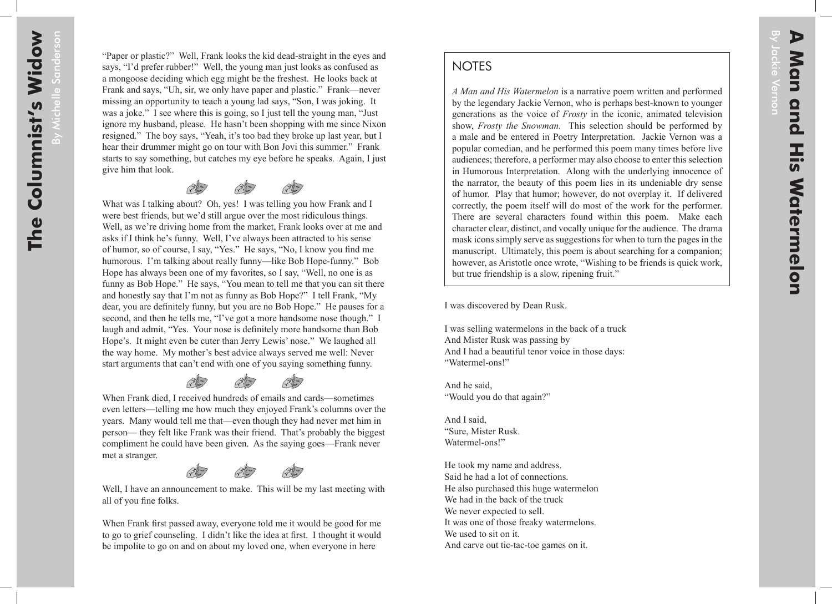By Jackie Vernon

ackie Vernon

## **NOTES**

*A Man and His Watermelon* is a narrative poem written and performed by the legendary Jackie Vernon, who is perhaps best-known to younger generations as the voice of *Frosty* in the iconic, animated television show, *Frosty the Snowman*. This selection should be performed by a male and be entered in Poetry Interpretation. Jackie Vernon was a popular comedian, and he performed this poem many times before live audiences; therefore, a performer may also choose to enter this selection in Humorous Interpretation. Along with the underlying innocence of the narrator, the beauty of this poem lies in its undeniable dry sense of humor. Play that humor; however, do not overplay it. If delivered correctly, the poem itself will do most of the work for the performer. There are several characters found within this poem. Make each character clear, distinct, and vocally unique for the audience. The drama mask icons simply serve as suggestions for when to turn the pages in the manuscript. Ultimately, this poem is about searching for a companion; however, as Aristotle once wrote, "Wishing to be friends is quick work, but true friendship is a slow, ripening fruit."

I was discovered by Dean Rusk.

I was selling watermelons in the back of a truck And Mister Rusk was passing by And I had a beautiful tenor voice in those days: "Watermel-ons!"

And he said, "Would you do that again?"

And I said, "Sure, Mister Rusk. Watermel-ons!"

He took my name and address. Said he had a lot of connections. He also purchased this huge watermelon We had in the back of the truck We never expected to sell. It was one of those freaky watermelons. We used to sit on it. And carve out tic-tac-toe games on it.